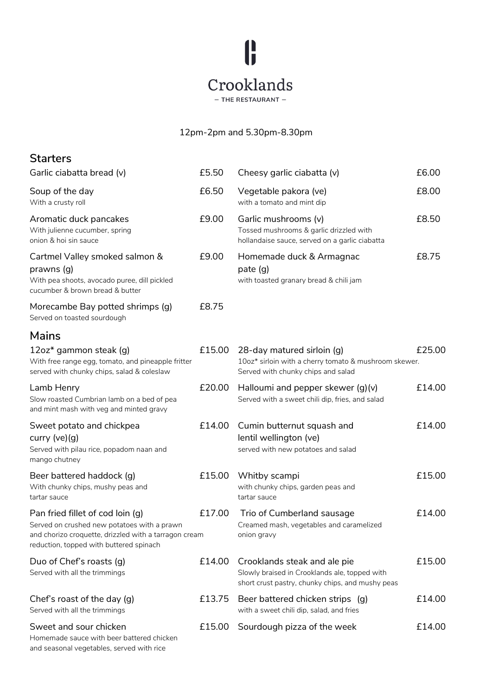

## 12pm-2pm and 5.30pm-8.30pm

| <b>Starters</b>                                                                                                                                                                     |        |                                                                                                                                   |        |
|-------------------------------------------------------------------------------------------------------------------------------------------------------------------------------------|--------|-----------------------------------------------------------------------------------------------------------------------------------|--------|
| Garlic ciabatta bread (v)                                                                                                                                                           | £5.50  | Cheesy garlic ciabatta (v)                                                                                                        | £6.00  |
| Soup of the day<br>With a crusty roll                                                                                                                                               | £6.50  | Vegetable pakora (ve)<br>with a tomato and mint dip                                                                               | £8.00  |
| Aromatic duck pancakes<br>With julienne cucumber, spring<br>onion & hoi sin sauce                                                                                                   | £9.00  | Garlic mushrooms (v)<br>Tossed mushrooms & garlic drizzled with<br>hollandaise sauce, served on a garlic ciabatta                 | £8.50  |
| Cartmel Valley smoked salmon &<br>prawns (g)<br>With pea shoots, avocado puree, dill pickled<br>cucumber & brown bread & butter                                                     | £9.00  | Homemade duck & Armagnac<br>pate $(g)$<br>with toasted granary bread & chili jam                                                  | £8.75  |
| Morecambe Bay potted shrimps (g)<br>Served on toasted sourdough                                                                                                                     | £8.75  |                                                                                                                                   |        |
| Mains                                                                                                                                                                               |        |                                                                                                                                   |        |
| 12oz* gammon steak (g)<br>With free range egg, tomato, and pineapple fritter<br>served with chunky chips, salad & coleslaw                                                          | £15.00 | 28-day matured sirloin (g)<br>10oz* sirloin with a cherry tomato & mushroom skewer.<br>Served with chunky chips and salad         | £25.00 |
| Lamb Henry<br>Slow roasted Cumbrian lamb on a bed of pea<br>and mint mash with veg and minted gravy                                                                                 | £20.00 | Halloumi and pepper skewer $(g)(v)$<br>Served with a sweet chili dip, fries, and salad                                            | £14.00 |
| Sweet potato and chickpea<br>curry $(ve)(g)$<br>Served with pilau rice, popadom naan and<br>mango chutney                                                                           | £14.00 | Cumin butternut squash and<br>lentil wellington (ve)<br>served with new potatoes and salad                                        | £14.00 |
| Beer battered haddock (g)<br>With chunky chips, mushy peas and<br>tartar sauce                                                                                                      | £15.00 | Whitby scampi<br>with chunky chips, garden peas and<br>tartar sauce                                                               | £15.00 |
| Pan fried fillet of cod loin (q)<br>Served on crushed new potatoes with a prawn<br>and chorizo croquette, drizzled with a tarragon cream<br>reduction, topped with buttered spinach | £17.00 | Trio of Cumberland sausage<br>Creamed mash, vegetables and caramelized<br>onion gravy                                             | £14.00 |
| Duo of Chef's roasts (g)<br>Served with all the trimmings                                                                                                                           | £14.00 | Crooklands steak and ale pie<br>Slowly braised in Crooklands ale, topped with<br>short crust pastry, chunky chips, and mushy peas |        |
| Chef's roast of the day (g)<br>Served with all the trimmings                                                                                                                        | £13.75 | Beer battered chicken strips (g)<br>with a sweet chili dip, salad, and fries                                                      | £14.00 |
| Sweet and sour chicken<br>Homemade sauce with beer battered chicken<br>and seasonal vegetables, served with rice                                                                    | £15.00 | Sourdough pizza of the week                                                                                                       | £14.00 |